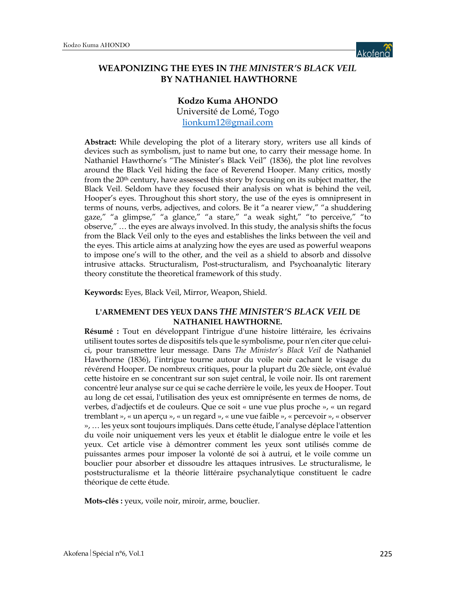

# **WEAPONIZING THE EYES IN** *THE MINISTER'S BLACK VEIL* **BY NATHANIEL HAWTHORNE**

# **Kodzo Kuma AHONDO**

Université de Lomé, Togo lionkum12@gmail.com

**Abstract:** While developing the plot of a literary story, writers use all kinds of devices such as symbolism, just to name but one, to carry their message home. In Nathaniel Hawthorne's "The Minister's Black Veil" (1836), the plot line revolves around the Black Veil hiding the face of Reverend Hooper. Many critics, mostly from the 20th century, have assessed this story by focusing on its subject matter, the Black Veil. Seldom have they focused their analysis on what is behind the veil, Hooper's eyes. Throughout this short story, the use of the eyes is omnipresent in terms of nouns, verbs, adjectives, and colors. Be it "a nearer view," "a shuddering gaze," "a glimpse," "a glance," "a stare," "a weak sight," "to perceive," "to observe," … the eyes are always involved. In this study, the analysis shifts the focus from the Black Veil only to the eyes and establishes the links between the veil and the eyes. This article aims at analyzing how the eyes are used as powerful weapons to impose one's will to the other, and the veil as a shield to absorb and dissolve intrusive attacks. Structuralism, Post-structuralism, and Psychoanalytic literary theory constitute the theoretical framework of this study.

**Keywords:** Eyes, Black Veil, Mirror, Weapon, Shield.

#### **L'ARMEMENT DES YEUX DANS** *THE MINISTER'S BLACK VEIL* **DE NATHANIEL HAWTHORNE.**

**Résumé :** Tout en développant l'intrigue d'une histoire littéraire, les écrivains utilisent toutes sortes de dispositifs tels que le symbolisme, pour n'en citer que celuici, pour transmettre leur message. Dans *The Minister's Black Veil* de Nathaniel Hawthorne (1836), l'intrigue tourne autour du voile noir cachant le visage du révérend Hooper. De nombreux critiques, pour la plupart du 20e siècle, ont évalué cette histoire en se concentrant sur son sujet central, le voile noir. Ils ont rarement concentré leur analyse sur ce qui se cache derrière le voile, les yeux de Hooper. Tout au long de cet essai, l'utilisation des yeux est omniprésente en termes de noms, de verbes, d'adjectifs et de couleurs. Que ce soit « une vue plus proche », « un regard tremblant », « un aperçu », « un regard », « une vue faible », « percevoir », « observer », … les yeux sont toujours impliqués. Dans cette étude, l'analyse déplace l'attention du voile noir uniquement vers les yeux et établit le dialogue entre le voile et les yeux. Cet article vise à démontrer comment les yeux sont utilisés comme de puissantes armes pour imposer la volonté de soi à autrui, et le voile comme un bouclier pour absorber et dissoudre les attaques intrusives. Le structuralisme, le poststructuralisme et la théorie littéraire psychanalytique constituent le cadre théorique de cette étude.

**Mots-clés :** yeux, voile noir, miroir, arme, bouclier.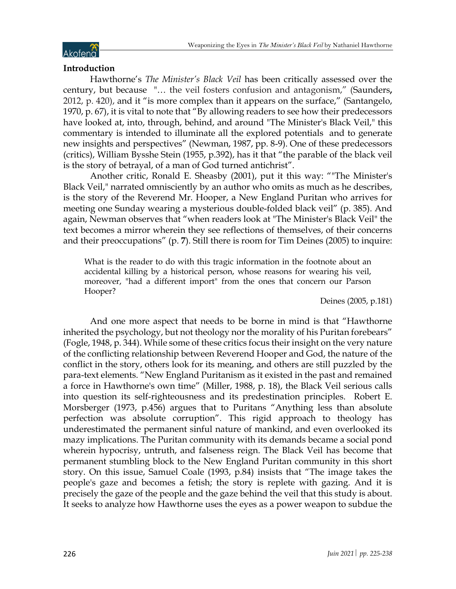

### **Introduction**

Hawthorne's *The Minister's Black Veil* has been critically assessed over the century, but because "… the veil fosters confusion and antagonism," (Saunders**,** 2012, p. 420), and it "is more complex than it appears on the surface," (Santangelo, 1970, p. 67), it is vital to note that "By allowing readers to see how their predecessors have looked at, into, through, behind, and around "The Minister's Black Veil," this commentary is intended to illuminate all the explored potentials and to generate new insights and perspectives" (Newman, 1987, pp. 8-9). One of these predecessors (critics), William Bysshe Stein (1955, p.392), has it that "the parable of the black veil is the story of betrayal, of a man of God turned antichrist".

Another critic, Ronald E. Sheasby (2001), put it this way: ""The Minister's Black Veil," narrated omnisciently by an author who omits as much as he describes, is the story of the Reverend Mr. Hooper, a New England Puritan who arrives for meeting one Sunday wearing a mysterious double-folded black veil" (p. 385). And again, Newman observes that "when readers look at "The Minister's Black Veil" the text becomes a mirror wherein they see reflections of themselves, of their concerns and their preoccupations" (p. **7**). Still there is room for Tim Deines (2005) to inquire:

What is the reader to do with this tragic information in the footnote about an accidental killing by a historical person, whose reasons for wearing his veil, moreover, "had a different import" from the ones that concern our Parson Hooper?

Deines (2005, p.181)

And one more aspect that needs to be borne in mind is that "Hawthorne inherited the psychology, but not theology nor the morality of his Puritan forebears" (Fogle, 1948, p. 344). While some of these critics focus their insight on the very nature of the conflicting relationship between Reverend Hooper and God, the nature of the conflict in the story, others look for its meaning, and others are still puzzled by the para-text elements. "New England Puritanism as it existed in the past and remained a force in Hawthorne's own time" (Miller, 1988, p. 18), the Black Veil serious calls into question its self-righteousness and its predestination principles. Robert E. Morsberger (1973, p.456) argues that to Puritans "Anything less than absolute perfection was absolute corruption". This rigid approach to theology has underestimated the permanent sinful nature of mankind, and even overlooked its mazy implications. The Puritan community with its demands became a social pond wherein hypocrisy, untruth, and falseness reign. The Black Veil has become that permanent stumbling block to the New England Puritan community in this short story. On this issue, Samuel Coale (1993, p.84) insists that "The image takes the people's gaze and becomes a fetish; the story is replete with gazing. And it is precisely the gaze of the people and the gaze behind the veil that this study is about. It seeks to analyze how Hawthorne uses the eyes as a power weapon to subdue the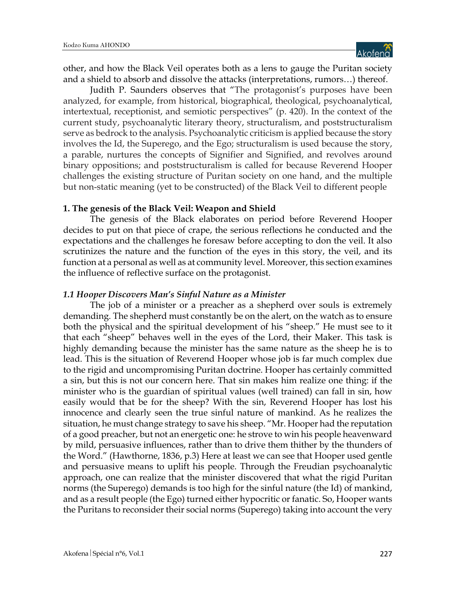other, and how the Black Veil operates both as a lens to gauge the Puritan society and a shield to absorb and dissolve the attacks (interpretations, rumors…) thereof.

Judith P. Saunders observes that "The protagonist's purposes have been analyzed, for example, from historical, biographical, theological, psychoanalytical, intertextual, receptionist, and semiotic perspectives" (p. 420). In the context of the current study, psychoanalytic literary theory, structuralism, and poststructuralism serve as bedrock to the analysis. Psychoanalytic criticism is applied because the story involves the Id, the Superego, and the Ego; structuralism is used because the story, a parable, nurtures the concepts of Signifier and Signified, and revolves around binary oppositions; and poststructuralism is called for because Reverend Hooper challenges the existing structure of Puritan society on one hand, and the multiple but non-static meaning (yet to be constructed) of the Black Veil to different people

### **1. The genesis of the Black Veil: Weapon and Shield**

The genesis of the Black elaborates on period before Reverend Hooper decides to put on that piece of crape, the serious reflections he conducted and the expectations and the challenges he foresaw before accepting to don the veil. It also scrutinizes the nature and the function of the eyes in this story, the veil, and its function at a personal as well as at community level. Moreover, this section examines the influence of reflective surface on the protagonist.

#### *1.1 Hooper Discovers Man's Sinful Nature as a Minister*

The job of a minister or a preacher as a shepherd over souls is extremely demanding. The shepherd must constantly be on the alert, on the watch as to ensure both the physical and the spiritual development of his "sheep." He must see to it that each "sheep" behaves well in the eyes of the Lord, their Maker. This task is highly demanding because the minister has the same nature as the sheep he is to lead. This is the situation of Reverend Hooper whose job is far much complex due to the rigid and uncompromising Puritan doctrine. Hooper has certainly committed a sin, but this is not our concern here. That sin makes him realize one thing: if the minister who is the guardian of spiritual values (well trained) can fall in sin, how easily would that be for the sheep? With the sin, Reverend Hooper has lost his innocence and clearly seen the true sinful nature of mankind. As he realizes the situation, he must change strategy to save his sheep. "Mr. Hooper had the reputation of a good preacher, but not an energetic one: he strove to win his people heavenward by mild, persuasive influences, rather than to drive them thither by the thunders of the Word." (Hawthorne, 1836, p.3) Here at least we can see that Hooper used gentle and persuasive means to uplift his people. Through the Freudian psychoanalytic approach, one can realize that the minister discovered that what the rigid Puritan norms (the Superego) demands is too high for the sinful nature (the Id) of mankind, and as a result people (the Ego) turned either hypocritic or fanatic. So, Hooper wants the Puritans to reconsider their social norms (Superego) taking into account the very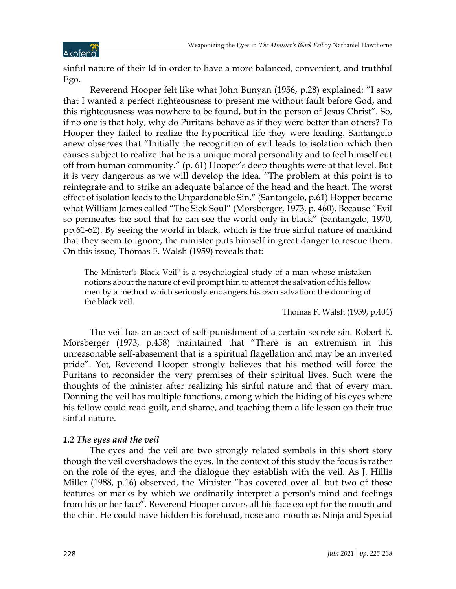sinful nature of their Id in order to have a more balanced, convenient, and truthful Ego.

Reverend Hooper felt like what John Bunyan (1956, p.28) explained: "I saw that I wanted a perfect righteousness to present me without fault before God, and this righteousness was nowhere to be found, but in the person of Jesus Christ". So, if no one is that holy, why do Puritans behave as if they were better than others? To Hooper they failed to realize the hypocritical life they were leading. Santangelo anew observes that "Initially the recognition of evil leads to isolation which then causes subject to realize that he is a unique moral personality and to feel himself cut off from human community." (p. 61) Hooper's deep thoughts were at that level. But it is very dangerous as we will develop the idea. "The problem at this point is to reintegrate and to strike an adequate balance of the head and the heart. The worst effect of isolation leads to the Unpardonable Sin." (Santangelo, p.61) Hopper became what William James called "The Sick Soul" (Morsberger, 1973, p. 460). Because "Evil so permeates the soul that he can see the world only in black" (Santangelo, 1970, pp.61-62). By seeing the world in black, which is the true sinful nature of mankind that they seem to ignore, the minister puts himself in great danger to rescue them. On this issue, Thomas F. Walsh (1959) reveals that:

The Minister's Black Veil" is a psychological study of a man whose mistaken notions about the nature of evil prompt him to attempt the salvation of his fellow men by a method which seriously endangers his own salvation: the donning of the black veil.

Thomas F. Walsh (1959, p.404)

The veil has an aspect of self-punishment of a certain secrete sin. Robert E. Morsberger (1973, p.458) maintained that "There is an extremism in this unreasonable self-abasement that is a spiritual flagellation and may be an inverted pride". Yet, Reverend Hooper strongly believes that his method will force the Puritans to reconsider the very premises of their spiritual lives. Such were the thoughts of the minister after realizing his sinful nature and that of every man. Donning the veil has multiple functions, among which the hiding of his eyes where his fellow could read guilt, and shame, and teaching them a life lesson on their true sinful nature.

# *1.2 The eyes and the veil*

The eyes and the veil are two strongly related symbols in this short story though the veil overshadows the eyes. In the context of this study the focus is rather on the role of the eyes, and the dialogue they establish with the veil. As J. Hillis Miller (1988, p.16) observed, the Minister "has covered over all but two of those features or marks by which we ordinarily interpret a person's mind and feelings from his or her face". Reverend Hooper covers all his face except for the mouth and the chin. He could have hidden his forehead, nose and mouth as Ninja and Special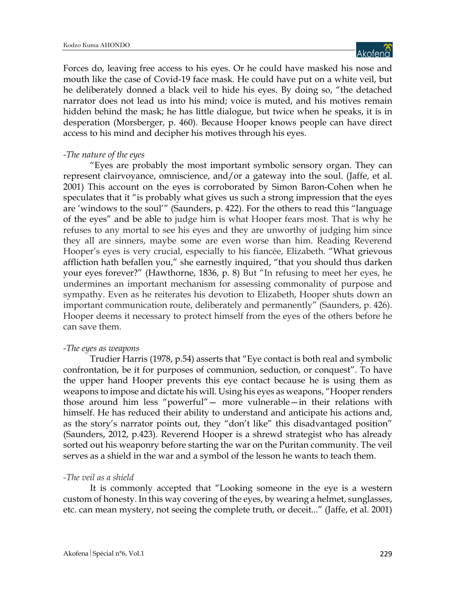Forces do, leaving free access to his eyes. Or he could have masked his nose and mouth like the case of Covid-19 face mask. He could have put on a white veil, but he deliberately donned a black veil to hide his eyes. By doing so, "the detached narrator does not lead us into his mind; voice is muted, and his motives remain hidden behind the mask; he has little dialogue, but twice when he speaks, it is in desperation (Morsberger, p. 460). Because Hooper knows people can have direct access to his mind and decipher his motives through his eyes.

# *-The nature of the eyes*

"Eyes are probably the most important symbolic sensory organ. They can represent clairvoyance, omniscience, and/or a gateway into the soul. (Jaffe, et al. 2001) This account on the eyes is corroborated by Simon Baron-Cohen when he speculates that it "is probably what gives us such a strong impression that the eyes are 'windows to the soul'" (Saunders, p. 422). For the others to read this "language of the eyes" and be able to judge him is what Hooper fears most. That is why he refuses to any mortal to see his eyes and they are unworthy of judging him since they all are sinners, maybe some are even worse than him. Reading Reverend Hooper's eyes is very crucial, especially to his fiancée, Elizabeth. "What grievous affliction hath befallen you," she earnestly inquired, "that you should thus darken your eyes forever?" (Hawthorne, 1836, p. 8) But "In refusing to meet her eyes, he undermines an important mechanism for assessing commonality of purpose and sympathy. Even as he reiterates his devotion to Elizabeth, Hooper shuts down an important communication route, deliberately and permanently" (Saunders, p. 426). Hooper deems it necessary to protect himself from the eyes of the others before he can save them.

# *-The eyes as weapons*

Trudier Harris (1978, p.54) asserts that "Eye contact is both real and symbolic confrontation, be it for purposes of communion, seduction, or conquest". To have the upper hand Hooper prevents this eye contact because he is using them as weapons to impose and dictate his will. Using his eyes as weapons, "Hooper renders those around him less "powerful"— more vulnerable—in their relations with himself. He has reduced their ability to understand and anticipate his actions and, as the story's narrator points out, they "don't like" this disadvantaged position" (Saunders, 2012, p.423). Reverend Hooper is a shrewd strategist who has already sorted out his weaponry before starting the war on the Puritan community. The veil serves as a shield in the war and a symbol of the lesson he wants to teach them.

# *-The veil as a shield*

It is commonly accepted that "Looking someone in the eye is a western custom of honesty. In this way covering of the eyes, by wearing a helmet, sunglasses, etc. can mean mystery, not seeing the complete truth, or deceit..." (Jaffe, et al. 2001)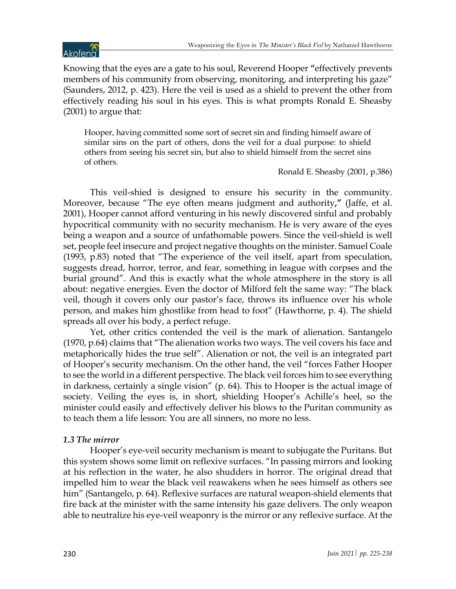# Akofena

Knowing that the eyes are a gate to his soul, Reverend Hooper **"**effectively prevents members of his community from observing, monitoring, and interpreting his gaze" (Saunders, 2012, p. 423). Here the veil is used as a shield to prevent the other from effectively reading his soul in his eyes. This is what prompts Ronald E. Sheasby (2001) to argue that:

Hooper, having committed some sort of secret sin and finding himself aware of similar sins on the part of others, dons the veil for a dual purpose: to shield others from seeing his secret sin, but also to shield himself from the secret sins of others.

Ronald E. Sheasby (2001, p.386)

This veil-shied is designed to ensure his security in the community. Moreover, because "The eye often means judgment and authority**,"** (Jaffe, et al. 2001), Hooper cannot afford venturing in his newly discovered sinful and probably hypocritical community with no security mechanism. He is very aware of the eyes being a weapon and a source of unfathomable powers. Since the veil-shield is well set, people feel insecure and project negative thoughts on the minister. Samuel Coale (1993, p.83) noted that "The experience of the veil itself, apart from speculation, suggests dread, horror, terror, and fear, something in league with corpses and the burial ground". And this is exactly what the whole atmosphere in the story is all about: negative energies. Even the doctor of Milford felt the same way: "The black veil, though it covers only our pastor's face, throws its influence over his whole person, and makes him ghostlike from head to foot" (Hawthorne, p. 4). The shield spreads all over his body, a perfect refuge.

Yet, other critics contended the veil is the mark of alienation. Santangelo (1970, p.64) claims that "The alienation works two ways. The veil covers his face and metaphorically hides the true self". Alienation or not, the veil is an integrated part of Hooper's security mechanism. On the other hand, the veil "forces Father Hooper to see the world in a different perspective. The black veil forces him to see everything in darkness, certainly a single vision" (p. 64). This to Hooper is the actual image of society. Veiling the eyes is, in short, shielding Hooper's Achille's heel, so the minister could easily and effectively deliver his blows to the Puritan community as to teach them a life lesson: You are all sinners, no more no less.

# *1.3 The mirror*

Hooper's eye-veil security mechanism is meant to subjugate the Puritans. But this system shows some limit on reflexive surfaces. "In passing mirrors and looking at his reflection in the water, he also shudders in horror. The original dread that impelled him to wear the black veil reawakens when he sees himself as others see him" (Santangelo, p. 64). Reflexive surfaces are natural weapon-shield elements that fire back at the minister with the same intensity his gaze delivers. The only weapon able to neutralize his eye-veil weaponry is the mirror or any reflexive surface. At the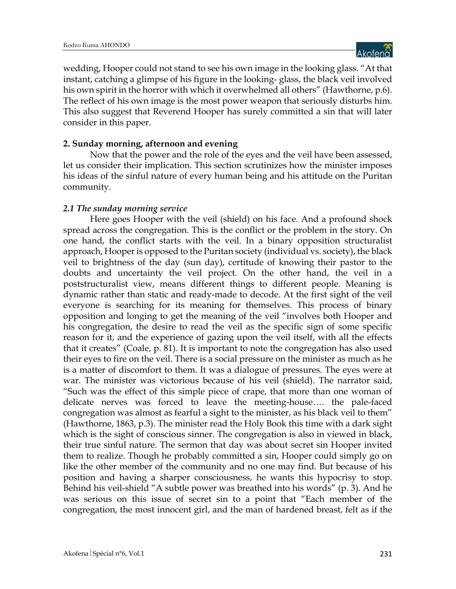wedding, Hooper could not stand to see his own image in the looking glass. "At that instant, catching a glimpse of his figure in the looking- glass, the black veil involved his own spirit in the horror with which it overwhelmed all others" (Hawthorne, p.6). The reflect of his own image is the most power weapon that seriously disturbs him. This also suggest that Reverend Hooper has surely committed a sin that will later consider in this paper.

# **2. Sunday morning, afternoon and evening**

Now that the power and the role of the eyes and the veil have been assessed, let us consider their implication. This section scrutinizes how the minister imposes his ideas of the sinful nature of every human being and his attitude on the Puritan community.

# *2.1 The sunday morning service*

Here goes Hooper with the veil (shield) on his face. And a profound shock spread across the congregation. This is the conflict or the problem in the story. On one hand, the conflict starts with the veil. In a binary opposition structuralist approach, Hooper is opposed to the Puritan society (individual vs. society), the black veil to brightness of the day (sun day), certitude of knowing their pastor to the doubts and uncertainty the veil project. On the other hand, the veil in a poststructuralist view, means different things to different people. Meaning is dynamic rather than static and ready-made to decode. At the first sight of the veil everyone is searching for its meaning for themselves. This process of binary opposition and longing to get the meaning of the veil "involves both Hooper and his congregation, the desire to read the veil as the specific sign of some specific reason for it, and the experience of gazing upon the veil itself, with all the effects that it creates" (Coale, p. 81). It is important to note the congregation has also used their eyes to fire on the veil. There is a social pressure on the minister as much as he is a matter of discomfort to them. It was a dialogue of pressures. The eyes were at war. The minister was victorious because of his veil (shield). The narrator said, "Such was the effect of this simple piece of crape, that more than one woman of delicate nerves was forced to leave the meeting-house…. the pale-faced congregation was almost as fearful a sight to the minister, as his black veil to them" (Hawthorne, 1863, p.3). The minister read the Holy Book this time with a dark sight which is the sight of conscious sinner. The congregation is also in viewed in black, their true sinful nature. The sermon that day was about secret sin Hooper invited them to realize. Though he probably committed a sin, Hooper could simply go on like the other member of the community and no one may find. But because of his position and having a sharper consciousness, he wants this hypocrisy to stop. Behind his veil-shield "A subtle power was breathed into his words" (p. 3). And he was serious on this issue of secret sin to a point that "Each member of the congregation, the most innocent girl, and the man of hardened breast, felt as if the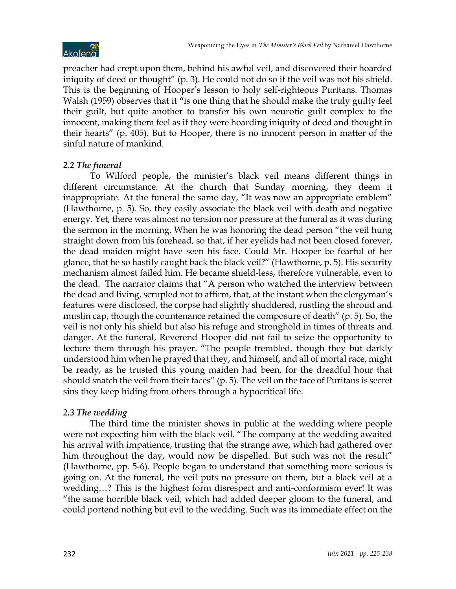

preacher had crept upon them, behind his awful veil, and discovered their hoarded iniquity of deed or thought" (p. 3). He could not do so if the veil was not his shield. This is the beginning of Hooper's lesson to holy self-righteous Puritans. Thomas Walsh (1959) observes that it **"**is one thing that he should make the truly guilty feel their guilt, but quite another to transfer his own neurotic guilt complex to the innocent, making them feel as if they were hoarding iniquity of deed and thought in their hearts" (p. 405). But to Hooper, there is no innocent person in matter of the sinful nature of mankind.

# *2.2 The funeral*

To Wilford people, the minister's black veil means different things in different circumstance. At the church that Sunday morning, they deem it inappropriate. At the funeral the same day, "It was now an appropriate emblem" (Hawthorne, p. 5). So, they easily associate the black veil with death and negative energy. Yet, there was almost no tension nor pressure at the funeral as it was during the sermon in the morning. When he was honoring the dead person "the veil hung straight down from his forehead, so that, if her eyelids had not been closed forever, the dead maiden might have seen his face. Could Mr. Hooper be fearful of her glance, that he so hastily caught back the black veil?" (Hawthorne, p. 5). His security mechanism almost failed him. He became shield-less, therefore vulnerable, even to the dead. The narrator claims that "A person who watched the interview between the dead and living, scrupled not to affirm, that, at the instant when the clergyman's features were disclosed, the corpse had slightly shuddered, rustling the shroud and muslin cap, though the countenance retained the composure of death" (p. 5). So, the veil is not only his shield but also his refuge and stronghold in times of threats and danger. At the funeral, Reverend Hooper did not fail to seize the opportunity to lecture them through his prayer. "The people trembled, though they but darkly understood him when he prayed that they, and himself, and all of mortal race, might be ready, as he trusted this young maiden had been, for the dreadful hour that should snatch the veil from their faces" (p. 5). The veil on the face of Puritans is secret sins they keep hiding from others through a hypocritical life.

# *2.3 The wedding*

The third time the minister shows in public at the wedding where people were not expecting him with the black veil. "The company at the wedding awaited his arrival with impatience, trusting that the strange awe, which had gathered over him throughout the day, would now be dispelled. But such was not the result" (Hawthorne, pp. 5-6). People began to understand that something more serious is going on. At the funeral, the veil puts no pressure on them, but a black veil at a wedding…? This is the highest form disrespect and anti-conformism ever! It was "the same horrible black veil, which had added deeper gloom to the funeral, and could portend nothing but evil to the wedding. Such was its immediate effect on the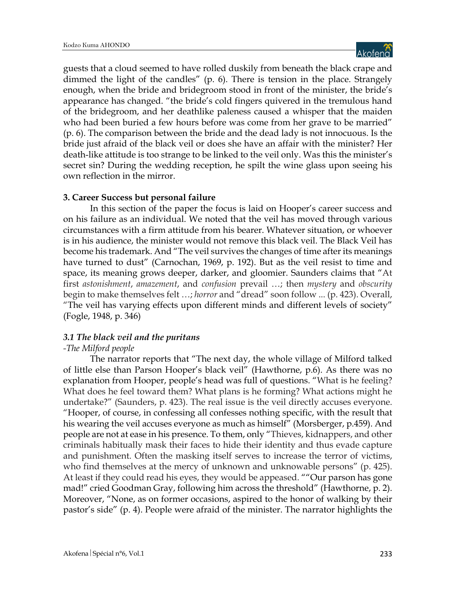guests that a cloud seemed to have rolled duskily from beneath the black crape and dimmed the light of the candles" (p. 6). There is tension in the place. Strangely enough, when the bride and bridegroom stood in front of the minister, the bride's appearance has changed. "the bride's cold fingers quivered in the tremulous hand of the bridegroom, and her deathlike paleness caused a whisper that the maiden who had been buried a few hours before was come from her grave to be married" (p. 6). The comparison between the bride and the dead lady is not innocuous. Is the bride just afraid of the black veil or does she have an affair with the minister? Her death-like attitude is too strange to be linked to the veil only. Was this the minister's secret sin? During the wedding reception, he spilt the wine glass upon seeing his own reflection in the mirror.

### **3. Career Success but personal failure**

In this section of the paper the focus is laid on Hooper's career success and on his failure as an individual. We noted that the veil has moved through various circumstances with a firm attitude from his bearer. Whatever situation, or whoever is in his audience, the minister would not remove this black veil. The Black Veil has become his trademark. And "The veil survives the changes of time after its meanings have turned to dust" (Carnochan, 1969, p. 192). But as the veil resist to time and space, its meaning grows deeper, darker, and gloomier. Saunders claims that "At first *astonishment*, *amazement*, and *confusion* prevail …; then *mystery* and *obscurity* begin to make themselves felt …; *horror* and "dread" soon follow ... (p. 423). Overall, "The veil has varying effects upon different minds and different levels of society" (Fogle, 1948, p. 346)

# *3.1 The black veil and the puritans*

# *-The Milford people*

The narrator reports that "The next day, the whole village of Milford talked of little else than Parson Hooper's black veil" (Hawthorne, p.6). As there was no explanation from Hooper, people's head was full of questions. "What is he feeling? What does he feel toward them? What plans is he forming? What actions might he undertake?" (Saunders, p. 423). The real issue is the veil directly accuses everyone. "Hooper, of course, in confessing all confesses nothing specific, with the result that his wearing the veil accuses everyone as much as himself" (Morsberger, p.459). And people are not at ease in his presence. To them, only "Thieves, kidnappers, and other criminals habitually mask their faces to hide their identity and thus evade capture and punishment. Often the masking itself serves to increase the terror of victims, who find themselves at the mercy of unknown and unknowable persons" (p. 425). At least if they could read his eyes, they would be appeased. ""Our parson has gone mad!" cried Goodman Gray, following him across the threshold" (Hawthorne, p. 2). Moreover, "None, as on former occasions, aspired to the honor of walking by their pastor's side" (p. 4). People were afraid of the minister. The narrator highlights the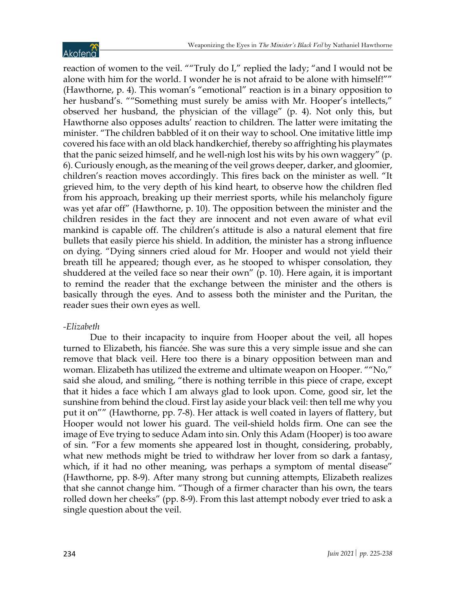

reaction of women to the veil. ""Truly do I," replied the lady; "and I would not be alone with him for the world. I wonder he is not afraid to be alone with himself!"" (Hawthorne, p. 4). This woman's "emotional" reaction is in a binary opposition to her husband's. ""Something must surely be amiss with Mr. Hooper's intellects," observed her husband, the physician of the village" (p. 4). Not only this, but Hawthorne also opposes adults' reaction to children. The latter were imitating the minister. "The children babbled of it on their way to school. One imitative little imp covered his face with an old black handkerchief, thereby so affrighting his playmates that the panic seized himself, and he well-nigh lost his wits by his own waggery" (p. 6). Curiously enough, as the meaning of the veil grows deeper, darker, and gloomier, children's reaction moves accordingly. This fires back on the minister as well. "It grieved him, to the very depth of his kind heart, to observe how the children fled from his approach, breaking up their merriest sports, while his melancholy figure was yet afar off" (Hawthorne, p. 10). The opposition between the minister and the children resides in the fact they are innocent and not even aware of what evil mankind is capable off. The children's attitude is also a natural element that fire bullets that easily pierce his shield. In addition, the minister has a strong influence on dying. "Dying sinners cried aloud for Mr. Hooper and would not yield their breath till he appeared; though ever, as he stooped to whisper consolation, they shuddered at the veiled face so near their own" (p. 10). Here again, it is important to remind the reader that the exchange between the minister and the others is basically through the eyes. And to assess both the minister and the Puritan, the reader sues their own eyes as well.

### *-Elizabeth*

Due to their incapacity to inquire from Hooper about the veil, all hopes turned to Elizabeth, his fiancée. She was sure this a very simple issue and she can remove that black veil. Here too there is a binary opposition between man and woman. Elizabeth has utilized the extreme and ultimate weapon on Hooper. ""No," said she aloud, and smiling, "there is nothing terrible in this piece of crape, except that it hides a face which I am always glad to look upon. Come, good sir, let the sunshine from behind the cloud. First lay aside your black veil: then tell me why you put it on"" (Hawthorne, pp. 7-8). Her attack is well coated in layers of flattery, but Hooper would not lower his guard. The veil-shield holds firm. One can see the image of Eve trying to seduce Adam into sin. Only this Adam (Hooper) is too aware of sin. "For a few moments she appeared lost in thought, considering, probably, what new methods might be tried to withdraw her lover from so dark a fantasy, which, if it had no other meaning, was perhaps a symptom of mental disease" (Hawthorne, pp. 8-9). After many strong but cunning attempts, Elizabeth realizes that she cannot change him. "Though of a firmer character than his own, the tears rolled down her cheeks" (pp. 8-9). From this last attempt nobody ever tried to ask a single question about the veil.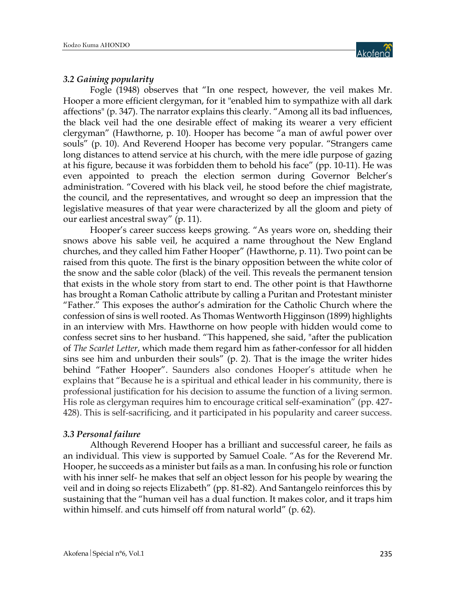

### *3.2 Gaining popularity*

Fogle (1948) observes that "In one respect, however, the veil makes Mr. Hooper a more efficient clergyman, for it "enabled him to sympathize with all dark affections" (p. 347). The narrator explains this clearly. "Among all its bad influences, the black veil had the one desirable effect of making its wearer a very efficient clergyman" (Hawthorne, p. 10). Hooper has become "a man of awful power over souls" (p. 10). And Reverend Hooper has become very popular. "Strangers came long distances to attend service at his church, with the mere idle purpose of gazing at his figure, because it was forbidden them to behold his face" (pp. 10-11). He was even appointed to preach the election sermon during Governor Belcher's administration. "Covered with his black veil, he stood before the chief magistrate, the council, and the representatives, and wrought so deep an impression that the legislative measures of that year were characterized by all the gloom and piety of our earliest ancestral sway" (p. 11).

Hooper's career success keeps growing. "As years wore on, shedding their snows above his sable veil, he acquired a name throughout the New England churches, and they called him Father Hooper" (Hawthorne, p. 11). Two point can be raised from this quote. The first is the binary opposition between the white color of the snow and the sable color (black) of the veil. This reveals the permanent tension that exists in the whole story from start to end. The other point is that Hawthorne has brought a Roman Catholic attribute by calling a Puritan and Protestant minister "Father." This exposes the author's admiration for the Catholic Church where the confession of sins is well rooted. As Thomas Wentworth Higginson (1899) highlights in an interview with Mrs. Hawthorne on how people with hidden would come to confess secret sins to her husband. "This happened, she said, "after the publication of *The Scarlet Letter*, which made them regard him as father-confessor for all hidden sins see him and unburden their souls" (p. 2). That is the image the writer hides behind "Father Hooper". Saunders also condones Hooper's attitude when he explains that "Because he is a spiritual and ethical leader in his community, there is professional justification for his decision to assume the function of a living sermon. His role as clergyman requires him to encourage critical self-examination" (pp. 427- 428). This is self-sacrificing, and it participated in his popularity and career success.

#### *3.3 Personal failure*

Although Reverend Hooper has a brilliant and successful career, he fails as an individual. This view is supported by Samuel Coale. "As for the Reverend Mr. Hooper, he succeeds as a minister but fails as a man. In confusing his role or function with his inner self- he makes that self an object lesson for his people by wearing the veil and in doing so rejects Elizabeth" (pp. 81-82). And Santangelo reinforces this by sustaining that the "human veil has a dual function. It makes color, and it traps him within himself. and cuts himself off from natural world" (p. 62).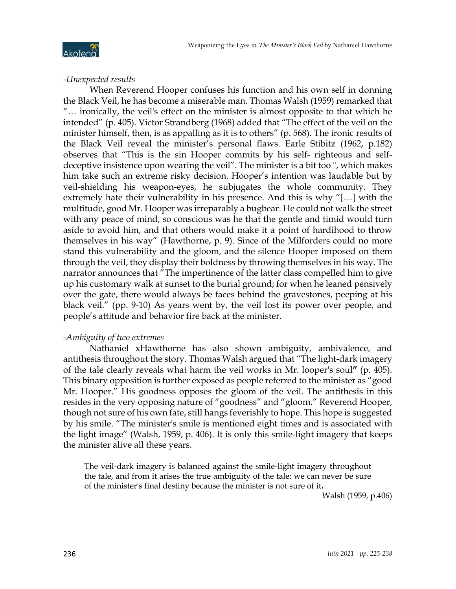

# *-Unexpected results*

When Reverend Hooper confuses his function and his own self in donning the Black Veil, he has become a miserable man. Thomas Walsh (1959) remarked that "… ironically, the veil's effect on the minister is almost opposite to that which he intended" (p. 405). Victor Strandberg (1968) added that "The effect of the veil on the minister himself, then, is as appalling as it is to others" (p. 568). The ironic results of the Black Veil reveal the minister's personal flaws. Earle Stibitz (1962, p.182) observes that "This is the sin Hooper commits by his self- righteous and selfdeceptive insistence upon wearing the veil". The minister is a bit too ", which makes him take such an extreme risky decision. Hooper's intention was laudable but by veil-shielding his weapon-eyes, he subjugates the whole community. They extremely hate their vulnerability in his presence. And this is why "[…] with the multitude, good Mr. Hooper was irreparably a bugbear. He could not walk the street with any peace of mind, so conscious was he that the gentle and timid would turn aside to avoid him, and that others would make it a point of hardihood to throw themselves in his way" (Hawthorne, p. 9). Since of the Milforders could no more stand this vulnerability and the gloom, and the silence Hooper imposed on them through the veil, they display their boldness by throwing themselves in his way. The narrator announces that "The impertinence of the latter class compelled him to give up his customary walk at sunset to the burial ground; for when he leaned pensively over the gate, there would always be faces behind the gravestones, peeping at his black veil." (pp. 9-10) As years went by, the veil lost its power over people, and people's attitude and behavior fire back at the minister.

# *-Ambiguity of two extremes*

Nathaniel xHawthorne has also shown ambiguity, ambivalence, and antithesis throughout the story. Thomas Walsh argued that "The light-dark imagery of the tale clearly reveals what harm the veil works in Mr. looper's soul**"** (p. 405). This binary opposition is further exposed as people referred to the minister as "good Mr. Hooper." His goodness opposes the gloom of the veil. The antithesis in this resides in the very opposing nature of "goodness" and "gloom." Reverend Hooper, though not sure of his own fate, still hangs feverishly to hope. This hope is suggested by his smile. "The minister's smile is mentioned eight times and is associated with the light image" (Walsh, 1959, p. 406). It is only this smile-light imagery that keeps the minister alive all these years.

The veil-dark imagery is balanced against the smile-light imagery throughout the tale, and from it arises the true ambiguity of the tale: we can never be sure of the minister's final destiny because the minister is not sure of it**.**

Walsh (1959, p.406)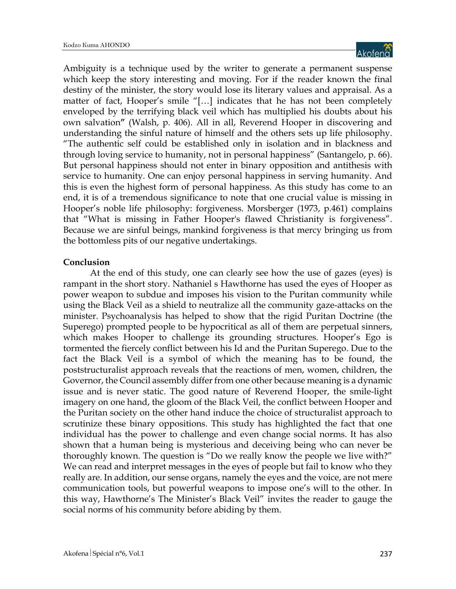

Ambiguity is a technique used by the writer to generate a permanent suspense which keep the story interesting and moving. For if the reader known the final destiny of the minister, the story would lose its literary values and appraisal. As a matter of fact, Hooper's smile "[…] indicates that he has not been completely enveloped by the terrifying black veil which has multiplied his doubts about his own salvation**"** (Walsh, p. 406). All in all, Reverend Hooper in discovering and understanding the sinful nature of himself and the others sets up life philosophy. "The authentic self could be established only in isolation and in blackness and through loving service to humanity, not in personal happiness" (Santangelo, p. 66). But personal happiness should not enter in binary opposition and antithesis with service to humanity. One can enjoy personal happiness in serving humanity. And this is even the highest form of personal happiness. As this study has come to an end, it is of a tremendous significance to note that one crucial value is missing in Hooper's noble life philosophy: forgiveness. Morsberger (1973, p.461) complains that "What is missing in Father Hooper's flawed Christianity is forgiveness". Because we are sinful beings, mankind forgiveness is that mercy bringing us from the bottomless pits of our negative undertakings.

### **Conclusion**

At the end of this study, one can clearly see how the use of gazes (eyes) is rampant in the short story. Nathaniel s Hawthorne has used the eyes of Hooper as power weapon to subdue and imposes his vision to the Puritan community while using the Black Veil as a shield to neutralize all the community gaze-attacks on the minister. Psychoanalysis has helped to show that the rigid Puritan Doctrine (the Superego) prompted people to be hypocritical as all of them are perpetual sinners, which makes Hooper to challenge its grounding structures. Hooper's Ego is tormented the fiercely conflict between his Id and the Puritan Superego. Due to the fact the Black Veil is a symbol of which the meaning has to be found, the poststructuralist approach reveals that the reactions of men, women, children, the Governor, the Council assembly differ from one other because meaning is a dynamic issue and is never static. The good nature of Reverend Hooper, the smile-light imagery on one hand, the gloom of the Black Veil, the conflict between Hooper and the Puritan society on the other hand induce the choice of structuralist approach to scrutinize these binary oppositions. This study has highlighted the fact that one individual has the power to challenge and even change social norms. It has also shown that a human being is mysterious and deceiving being who can never be thoroughly known. The question is "Do we really know the people we live with?" We can read and interpret messages in the eyes of people but fail to know who they really are. In addition, our sense organs, namely the eyes and the voice, are not mere communication tools, but powerful weapons to impose one's will to the other. In this way, Hawthorne's The Minister's Black Veil" invites the reader to gauge the social norms of his community before abiding by them.